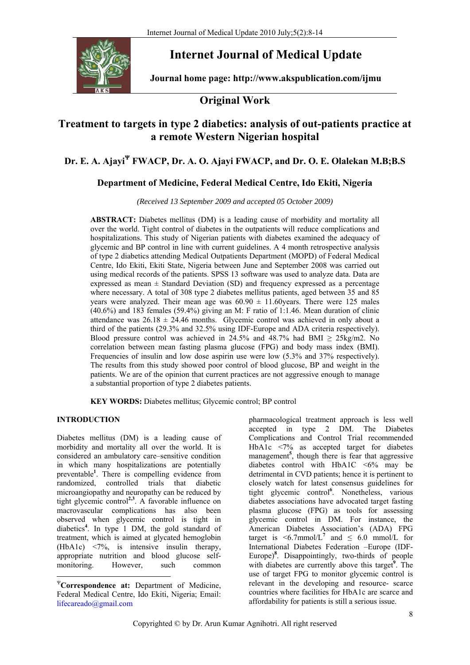

# **Internet Journal of Medical Update**

**Journal home page: http://www.akspublication.com/ijmu** 

## **Original Work**

## **Treatment to targets in type 2 diabetics: analysis of out-patients practice at a remote Western Nigerian hospital**

## **Dr. E. A. Ajayi<sup>Ψ</sup> FWACP, Dr. A. O. Ajayi FWACP, and Dr. O. E. Olalekan M.B;B.S**

## **Department of Medicine, Federal Medical Centre, Ido Ekiti, Nigeria**

*(Received 13 September 2009 and accepted 05 October 2009)* 

**ABSTRACT:** Diabetes mellitus (DM) is a leading cause of morbidity and mortality all over the world. Tight control of diabetes in the outpatients will reduce complications and hospitalizations. This study of Nigerian patients with diabetes examined the adequacy of glycemic and BP control in line with current guidelines. A 4 month retrospective analysis of type 2 diabetics attending Medical Outpatients Department (MOPD) of Federal Medical Centre, Ido Ekiti, Ekiti State, Nigeria between June and September 2008 was carried out using medical records of the patients. SPSS 13 software was used to analyze data. Data are expressed as mean  $\pm$  Standard Deviation (SD) and frequency expressed as a percentage where necessary. A total of 308 type 2 diabetes mellitus patients, aged between 35 and 85 years were analyzed. Their mean age was  $60.90 \pm 11.60$  years. There were 125 males (40.6%) and 183 females (59.4%) giving an M: F ratio of 1:1.46. Mean duration of clinic attendance was  $26.18 \pm 24.46$  months. Glycemic control was achieved in only about a third of the patients (29.3% and 32.5% using IDF-Europe and ADA criteria respectively). Blood pressure control was achieved in 24.5% and 48.7% had BMI  $\geq$  25kg/m2. No correlation between mean fasting plasma glucose (FPG) and body mass index (BMI). Frequencies of insulin and low dose aspirin use were low (5.3% and 37% respectively). The results from this study showed poor control of blood glucose, BP and weight in the patients. We are of the opinion that current practices are not aggressive enough to manage a substantial proportion of type 2 diabetes patients.

**KEY WORDS:** Diabetes mellitus; Glycemic control; BP control

### **INTRODUCTION**

1

Diabetes mellitus (DM) is a leading cause of morbidity and mortality all over the world. It is considered an ambulatory care–sensitive condition in which many hospitalizations are potentially preventable**<sup>1</sup>** . There is compelling evidence from randomized, controlled trials that diabetic microangiopathy and neuropathy can be reduced by tight glycemic control**2,3**. A favorable influence on macrovascular complications has also been observed when glycemic control is tight in diabetics**<sup>4</sup>** . In type 1 DM, the gold standard of treatment, which is aimed at glycated hemoglobin (HbA1c) <7%, is intensive insulin therapy, appropriate nutrition and blood glucose selfmonitoring. However, such common

pharmacological treatment approach is less well accepted in type 2 DM. The Diabetes Complications and Control Trial recommended HbA1c <7% as accepted target for diabetes management**<sup>5</sup>** , though there is fear that aggressive diabetes control with HbA1C  $\leq 6\%$  may be detrimental in CVD patients; hence it is pertinent to closely watch for latest consensus guidelines for tight glycemic control**<sup>6</sup>** . Nonetheless, various diabetes associations have advocated target fasting plasma glucose (FPG) as tools for assessing glycemic control in DM. For instance, the American Diabetes Association's (ADA) FPG target is  $\leq 6.7$ mmol/L<sup>7</sup> and  $\leq 6.0$  mmol/L for International Diabetes Federation –Europe (IDF-Europe)**<sup>8</sup>** . Disappointingly, two-thirds of people with diabetes are currently above this target<sup>9</sup>. The use of target FPG to monitor glycemic control is relevant in the developing and resource- scarce countries where facilities for HbA1c are scarce and affordability for patients is still a serious issue.

<sup>Ψ</sup>**Correspondence at:** Department of Medicine, Federal Medical Centre, Ido Ekiti, Nigeria; Email: lifecareado@gmail.com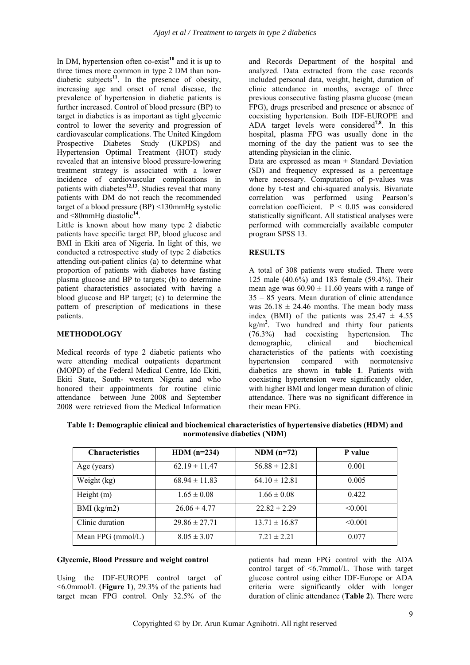In DM, hypertension often co-exist<sup>10</sup> and it is up to three times more common in type 2 DM than nondiabetic subjects<sup>11</sup>. In the presence of obesity, increasing age and onset of renal disease, the prevalence of hypertension in diabetic patients is further increased. Control of blood pressure (BP) to target in diabetics is as important as tight glycemic control to lower the severity and progression of cardiovascular complications. The United Kingdom Prospective Diabetes Study (UKPDS) and Hypertension Optimal Treatment (HOT) study revealed that an intensive blood pressure-lowering treatment strategy is associated with a lower incidence of cardiovascular complications in patients with diabetes**12,13**. Studies reveal that many patients with DM do not reach the recommended target of a blood pressure (BP) <130mmHg systolic and <80mmHg diastolic**<sup>14</sup>**.

Little is known about how many type 2 diabetic patients have specific target BP, blood glucose and BMI in Ekiti area of Nigeria. In light of this, we conducted a retrospective study of type 2 diabetics attending out-patient clinics (a) to determine what proportion of patients with diabetes have fasting plasma glucose and BP to targets; (b) to determine patient characteristics associated with having a blood glucose and BP target; (c) to determine the pattern of prescription of medications in these patients.

#### **METHODOLOGY**

Medical records of type 2 diabetic patients who were attending medical outpatients department (MOPD) of the Federal Medical Centre, Ido Ekiti, Ekiti State, South- western Nigeria and who honored their appointments for routine clinic attendance between June 2008 and September 2008 were retrieved from the Medical Information

and Records Department of the hospital and analyzed. Data extracted from the case records included personal data, weight, height, duration of clinic attendance in months, average of three previous consecutive fasting plasma glucose (mean FPG), drugs prescribed and presence or absence of coexisting hypertension. Both IDF-EUROPE and ADA target levels were considered**7,8**. In this hospital, plasma FPG was usually done in the morning of the day the patient was to see the attending physician in the clinic.

Data are expressed as mean  $\pm$  Standard Deviation (SD) and frequency expressed as a percentage where necessary. Computation of p-values was done by t-test and chi-squared analysis. Bivariate correlation was performed using Pearson's correlation coefficient.  $P < 0.05$  was considered statistically significant. All statistical analyses were performed with commercially available computer program SPSS 13.

## **RESULTS**

A total of 308 patients were studied. There were 125 male (40.6%) and 183 female (59.4%). Their mean age was  $60.90 \pm 11.60$  years with a range of 35 – 85 years. Mean duration of clinic attendance was  $26.18 \pm 24.46$  months. The mean body mass index (BMI) of the patients was  $25.47 \pm 4.55$ kg/m**<sup>2</sup>** . Two hundred and thirty four patients (76.3%) had coexisting hypertension. The demographic, clinical and biochemical characteristics of the patients with coexisting hypertension compared with normotensive diabetics are shown in **table 1**. Patients with coexisting hypertension were significantly older, with higher BMI and longer mean duration of clinic attendance. There was no significant difference in their mean FPG.

**Table 1: Demographic clinical and biochemical characteristics of hypertensive diabetics (HDM) and normotensive diabetics (NDM)** 

| <b>Characteristics</b> | HDM $(n=234)$     | $NDM(n=72)$       | P value |
|------------------------|-------------------|-------------------|---------|
| Age (years)            | $62.19 \pm 11.47$ | $56.88 \pm 12.81$ | 0.001   |
| Weight (kg)            | $68.94 \pm 11.83$ | $64.10 \pm 12.81$ | 0.005   |
| Height $(m)$           | $1.65 \pm 0.08$   | $1.66 \pm 0.08$   | 0.422   |
| BMI $(kg/m2)$          | $26.06 \pm 4.77$  | $22.82 \pm 2.29$  | < 0.001 |
| Clinic duration        | $29.86 \pm 27.71$ | $13.71 \pm 16.87$ | < 0.001 |
| Mean FPG (mmol/L)      | $8.05 \pm 3.07$   | $7.21 \pm 2.21$   | 0.077   |

### **Glycemic, Blood Pressure and weight control**

Using the IDF-EUROPE control target of <6.0mmol/L (**Figure 1**), 29.3% of the patients had target mean FPG control. Only 32.5% of the patients had mean FPG control with the ADA control target of <6.7mmol/L. Those with target glucose control using either IDF-Europe or ADA criteria were significantly older with longer duration of clinic attendance (**Table 2**). There were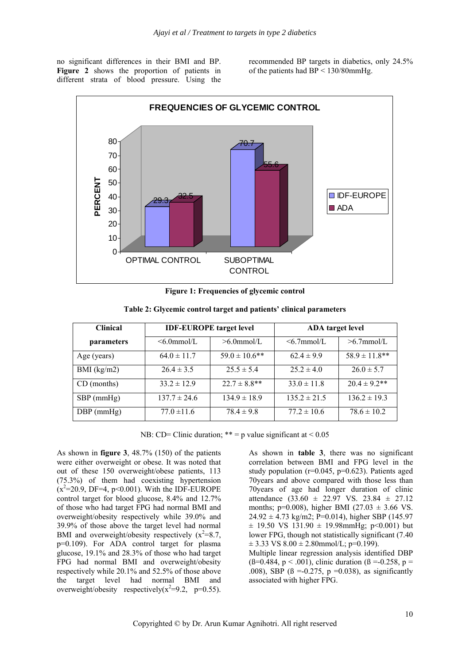no significant differences in their BMI and BP. **Figure 2** shows the proportion of patients in different strata of blood pressure. Using the

recommended BP targets in diabetics, only 24.5% of the patients had BP < 130/80mmHg.



**Figure 1: Frequencies of glycemic control** 

| <b>Clinical</b>   | <b>IDF-EUROPE</b> target level |                    | <b>ADA</b> target level |                    |
|-------------------|--------------------------------|--------------------|-------------------------|--------------------|
| <i>parameters</i> | $\leq 6.0$ mmol/L              | $>6.0$ mmol/L      | $\leq 6.7$ mmol/L       | $>6.7$ mmol/L      |
| Age (years)       | $64.0 \pm 11.7$                | $59.0 \pm 10.6$ ** | $62.4 \pm 9.9$          | $58.9 \pm 11.8$ ** |
| BMI $(kg/m2)$     | $26.4 \pm 3.5$                 | $25.5 \pm 5.4$     | $25.2 \pm 4.0$          | $26.0 \pm 5.7$     |
| CD (months)       | $33.2 \pm 12.9$                | $22.7 \pm 8.8$ **  | $33.0 \pm 11.8$         | $20.4 \pm 9.2$ **  |
| $SBP$ (mmHg)      | $137.7 \pm 24.6$               | $134.9 \pm 18.9$   | $135.2 \pm 21.5$        | $136.2 \pm 19.3$   |
| $DBP$ (mmHg)      | $77.0 \pm 11.6$                | $78.4 \pm 9.8$     | $77.2 \pm 10.6$         | $78.6 \pm 10.2$    |

**Table 2: Glycemic control target and patients' clinical parameters** 

NB: CD= Clinic duration;  $** = p$  value significant at  $< 0.05$ 

As shown in **figure 3**, 48.7% (150) of the patients were either overweight or obese. It was noted that out of these 150 overweight/obese patients, 113 (75.3%) of them had coexisting hypertension  $(x^2=20.9, DF=4, p<0.001)$ . With the IDF-EUROPE control target for blood glucose, 8.4% and 12.7% of those who had target FPG had normal BMI and overweight/obesity respectively while 39.0% and 39.9% of those above the target level had normal BMI and overweight/obesity respectively  $(x^2=8.7,$ p=0.109). For ADA control target for plasma glucose, 19.1% and 28.3% of those who had target FPG had normal BMI and overweight/obesity respectively while 20.1% and 52.5% of those above the target level had normal BMI and overweight/obesity respectively( $x^2=9.2$ , p=0.55).

As shown in **table 3**, there was no significant correlation between BMI and FPG level in the study population ( $r=0.045$ ,  $p=0.623$ ). Patients aged 70years and above compared with those less than 70years of age had longer duration of clinic attendance  $(33.60 \pm 22.97 \text{ VS. } 23.84 \pm 27.12)$ months; p=0.008), higher BMI (27.03  $\pm$  3.66 VS.  $24.92 \pm 4.73$  kg/m2; P=0.014), higher SBP (145.97  $\pm$  19.50 VS 131.90  $\pm$  19.98mmHg; p<0.001) but lower FPG, though not statistically significant (7.40  $\pm$  3.33 VS 8.00  $\pm$  2.80mmol/L; p=0.199). Multiple linear regression analysis identified DBP

( $\beta$ =0.484, p < .001), clinic duration ( $\beta$  =-0.258, p = .008), SBP ( $\beta$  =-0.275, p =0.038), as significantly associated with higher FPG.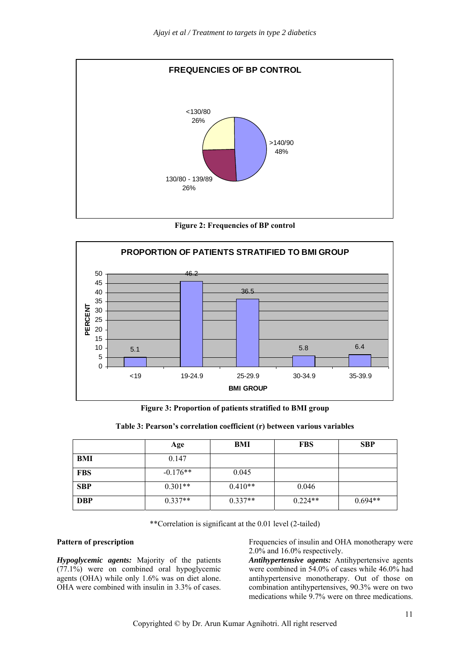

**Figure 2: Frequencies of BP control** 



**Figure 3: Proportion of patients stratified to BMI group** 

|     | Age        | BMI       | <b>FBS</b> | <b>SBP</b> |
|-----|------------|-----------|------------|------------|
| BMI | 0.147      |           |            |            |
| FBS | $-0.176**$ | 0.045     |            |            |
| SBP | $0.301**$  | $0.410**$ | 0.046      |            |

**Table 3: Pearson's correlation coefficient (r) between various variables** 

\*\*Correlation is significant at the 0.01 level (2-tailed)

**DBP**  $0.337**$   $0.337**$   $0.224**$   $0.694**$ 

#### **Pattern of prescription**

*Hypoglycemic agents:* Majority of the patients (77.1%) were on combined oral hypoglycemic agents (OHA) while only 1.6% was on diet alone. OHA were combined with insulin in 3.3% of cases.

Frequencies of insulin and OHA monotherapy were 2.0% and 16.0% respectively.

*Antihypertensive agents:* Antihypertensive agents were combined in 54.0% of cases while 46.0% had antihypertensive monotherapy. Out of those on combination antihypertensives, 90.3% were on two medications while 9.7% were on three medications.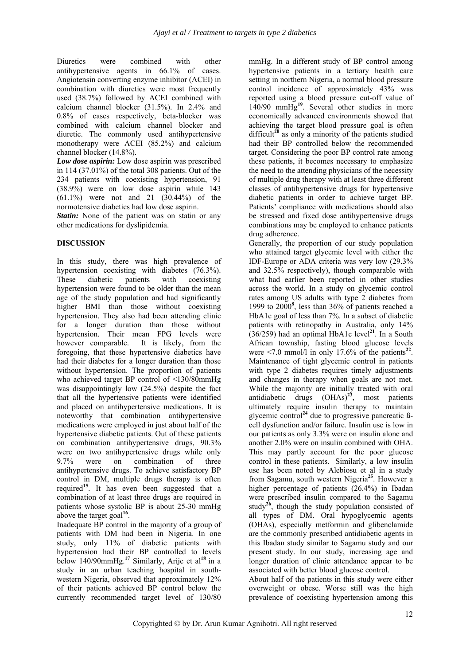Diuretics were combined with other antihypertensive agents in 66.1% of cases. Angiotensin converting enzyme inhibitor (ACEI) in combination with diuretics were most frequently used (38.7%) followed by ACEI combined with calcium channel blocker (31.5%). In 2.4% and 0.8% of cases respectively, beta-blocker was combined with calcium channel blocker and diuretic. The commonly used antihypertensive monotherapy were ACEI (85.2%) and calcium channel blocker (14.8%).

*Low dose aspirin:* Low dose aspirin was prescribed in 114 (37.01%) of the total 308 patients. Out of the 234 patients with coexisting hypertension, 91 (38.9%) were on low dose aspirin while 143  $(61.1\%)$  were not and 21  $(30.44\%)$  of the normotensive diabetics had low dose aspirin.

*Statin:* None of the patient was on statin or any other medications for dyslipidemia.

### **DISCUSSION**

In this study, there was high prevalence of hypertension coexisting with diabetes (76.3%). These diabetic patients with coexisting hypertension were found to be older than the mean age of the study population and had significantly higher BMI than those without coexisting hypertension. They also had been attending clinic for a longer duration than those without hypertension. Their mean FPG levels were however comparable. It is likely, from the foregoing, that these hypertensive diabetics have had their diabetes for a longer duration than those without hypertension. The proportion of patients who achieved target BP control of <130/80mmHg was disappointingly low (24.5%) despite the fact that all the hypertensive patients were identified and placed on antihypertensive medications. It is noteworthy that combination antihypertensive medications were employed in just about half of the hypertensive diabetic patients. Out of these patients on combination antihypertensive drugs, 90.3% were on two antihypertensive drugs while only 9.7% were on combination of three antihypertensive drugs. To achieve satisfactory BP control in DM, multiple drugs therapy is often required**<sup>15</sup>**. It has even been suggested that a combination of at least three drugs are required in patients whose systolic BP is about 25-30 mmHg above the target goal**<sup>16</sup>**.

Inadequate BP control in the majority of a group of patients with DM had been in Nigeria. In one study, only 11% of diabetic patients with hypertension had their BP controlled to levels below 140/90mmHg.**<sup>17</sup>** Similarly, Arije et al**<sup>18</sup>**in a study in an urban teaching hospital in southwestern Nigeria, observed that approximately 12% of their patients achieved BP control below the currently recommended target level of 130/80

mmHg. In a different study of BP control among hypertensive patients in a tertiary health care setting in northern Nigeria, a normal blood pressure control incidence of approximately 43% was reported using a blood pressure cut-off value of 140/90 mmHg**<sup>19</sup>**. Several other studies in more economically advanced environments showed that achieving the target blood pressure goal is often difficult<sup>20</sup> as only a minority of the patients studied had their BP controlled below the recommended target. Considering the poor BP control rate among these patients, it becomes necessary to emphasize the need to the attending physicians of the necessity of multiple drug therapy with at least three different classes of antihypertensive drugs for hypertensive diabetic patients in order to achieve target BP. Patients' compliance with medications should also be stressed and fixed dose antihypertensive drugs combinations may be employed to enhance patients drug adherence.

Generally, the proportion of our study population who attained target glycemic level with either the IDF-Europe or ADA criteria was very low (29.3% and 32.5% respectively), though comparable with what had earlier been reported in other studies across the world. In a study on glycemic control rates among US adults with type 2 diabetes from 1999 to 2000**<sup>8</sup>** , less than 36% of patients reached a HbA1c goal of less than 7%. In a subset of diabetic patients with retinopathy in Australia, only 14%  $(36/259)$  had an optimal HbA1c level<sup>21</sup>. In a South African township, fasting blood glucose levels were  $\leq 7.0$  mmol/l in only 17.6% of the patients<sup>22</sup>. Maintenance of tight glycemic control in patients with type 2 diabetes requires timely adjustments and changes in therapy when goals are not met. While the majority are initially treated with oral antidiabetic drugs (OHAs)**<sup>23</sup>**, most patients ultimately require insulin therapy to maintain glycemic control**<sup>24</sup>** due to progressive pancreatic ßcell dysfunction and/or failure. Insulin use is low in our patients as only 3.3% were on insulin alone and another 2.0% were on insulin combined with OHA. This may partly account for the poor glucose control in these patients. Similarly, a low insulin use has been noted by Alebiosu et al in a study from Sagamu, south western Nigeria**<sup>25</sup>**. However a higher percentage of patients (26.4%) in Ibadan were prescribed insulin compared to the Sagamu study<sup>26</sup>, though the study population consisted of all types of DM. Oral hypoglycemic agents (OHAs), especially metformin and glibenclamide are the commonly prescribed antidiabetic agents in this Ibadan study similar to Sagamu study and our present study. In our study, increasing age and longer duration of clinic attendance appear to be associated with better blood glucose control.

About half of the patients in this study were either overweight or obese. Worse still was the high prevalence of coexisting hypertension among this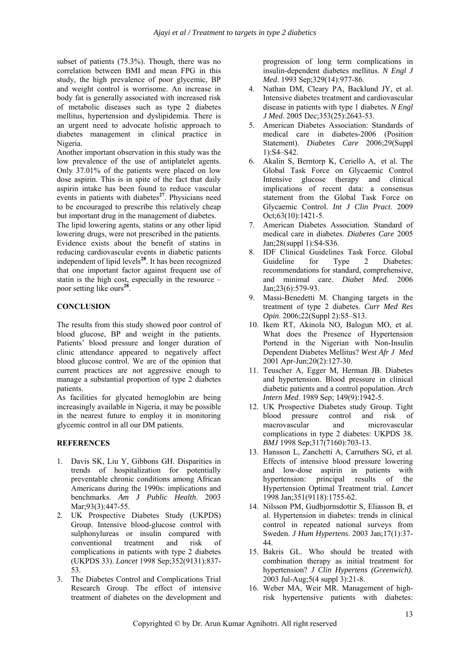subset of patients (75.3%). Though, there was no correlation between BMI and mean FPG in this study, the high prevalence of poor glycemic, BP and weight control is worrisome. An increase in body fat is generally associated with increased risk of metabolic diseases such as type 2 diabetes mellitus, hypertension and dyslipidemia. There is an urgent need to advocate holistic approach to diabetes management in clinical practice in Nigeria.

Another important observation in this study was the low prevalence of the use of antiplatelet agents. Only 37.01% of the patients were placed on low dose aspirin. This is in spite of the fact that daily aspirin intake has been found to reduce vascular events in patients with diabetes<sup>27</sup>. Physicians need to be encouraged to prescribe this relatively cheap but important drug in the management of diabetes.

The lipid lowering agents, statins or any other lipid lowering drugs, were not prescribed in the patients. Evidence exists about the benefit of statins in reducing cardiovascular events in diabetic patients independent of lipid levels**<sup>28</sup>**. It has been recognized that one important factor against frequent use of statin is the high cost, especially in the resource – poor setting like ours**<sup>28</sup>**.

#### **CONCLUSION**

The results from this study showed poor control of blood glucose, BP and weight in the patients. Patients' blood pressure and longer duration of clinic attendance appeared to negatively affect blood glucose control. We are of the opinion that current practices are not aggressive enough to manage a substantial proportion of type 2 diabetes patients.

As facilities for glycated hemoglobin are being increasingly available in Nigeria, it may be possible in the nearest future to employ it in monitoring glycemic control in all our DM patients.

#### **REFERENCES**

- 1. Davis SK, Liu Y, Gibbons GH. Disparities in trends of hospitalization for potentially preventable chronic conditions among African Americans during the 1990s: implications and benchmarks. *Am J Public Health*. 2003 Mar; 93(3): 447-55.
- 2. UK Prospective Diabetes Study (UKPDS) Group. Intensive blood-glucose control with sulphonylureas or insulin compared with conventional treatment and risk of complications in patients with type 2 diabetes (UKPDS 33). *Lancet* 1998 Sep;352(9131):837- 53.
- 3. The Diabetes Control and Complications Trial Research Group. The effect of intensive treatment of diabetes on the development and

progression of long term complications in insulin-dependent diabetes mellitus. *N Engl J Med*. 1993 Sep;329(14):977-86.

- 4. Nathan DM, Cleary PA, Backlund JY, et al. Intensive diabetes treatment and cardiovascular disease in patients with type 1 diabetes. *N Engl J Med*. 2005 Dec;353(25):2643-53.
- 5. American Diabetes Association: Standards of medical care in diabetes-2006 (Position Statement). *Diabetes Care* 2006;29(Suppl 1):S4–S42.
- 6. Akalin S, Berntorp K, Ceriello A, et al. The Global Task Force on Glycaemic Control Intensive glucose therapy and clinical implications of recent data: a consensus statement from the Global Task Force on Glycaemic Control. *Int J Clin Pract*. 2009 Oct;63(10):1421-5.
- 7. American Diabetes Association. Standard of medical care in diabetes. *Diabetes Care* 2005 Jan;28(suppl 1):S4-S36.
- 8. IDF Clinical Guidelines Task Force. Global Guideline for Type 2 Diabetes: recommendations for standard, comprehensive, and minimal care. *Diabet Med.* 2006 Jan;23(6):579-93.
- 9. Massi-Benedetti M. Changing targets in the treatment of type 2 diabetes. *Curr Med Res Opin*. 2006;22(Suppl 2):S5–S13.
- 10. Ikem RT, Akinola NO, Balogun MO, et al. What does the Presence of Hypertension Portend in the Nigerian with Non-Insulin Dependent Diabetes Mellitus? *West Afr J Med* 2001 Apr-Jun;20(2):127-30.
- 11. Teuscher A, Egger M, Herman JB. Diabetes and hypertension. Blood pressure in clinical diabetic patients and a control population. *Arch Intern Med*. 1989 Sep; 149(9):1942-5.
- 12. UK Prospective Diabetes study Group. Tight blood pressure control and risk of macrovascular and microvascular complications in type 2 diabetes: UKPDS 38. *BMJ* 1998 Sep;317(7160):703-13.
- 13. Hansson L, Zanchetti A, Carruthers SG, et al. Effects of intensive blood pressure lowering and low-dose aspirin in patients with hypertension: principal results of the Hypertension Optimal Treatment trial. *Lancet* 1998 Jan;351(9118):1755-62.
- 14. Nilsson PM, Gudbjornsdottir S, Eliasson B, et al. Hypertension in diabetes: trends in clinical control in repeated national surveys from Sweden. *J Hum Hypertens*. 2003 Jan;17(1):37- 44.
- 15. Bakris GL. Who should be treated with combination therapy as initial treatment for hypertension? *J Clin Hypertens (Greenwich)*. 2003 Jul-Aug;5(4 suppl 3):21-8.
- 16. Weber MA, Weir MR. Management of highrisk hypertensive patients with diabetes: